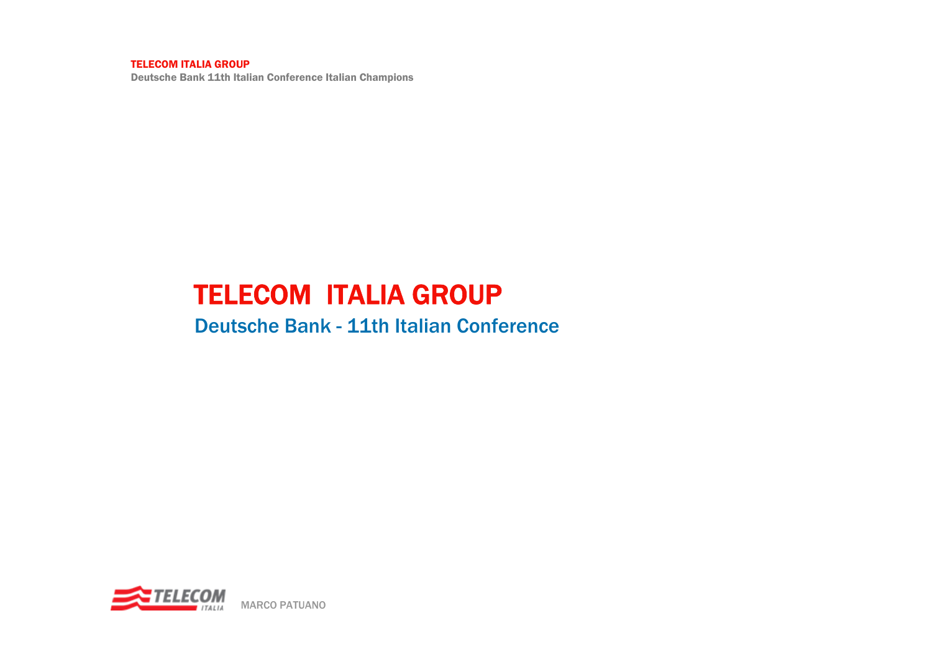Deutsche Bank 11th Italian Conference Italian Champions

# TELECOM ITALIA GROUP

### Deutsche Bank - 11th Italian Conference

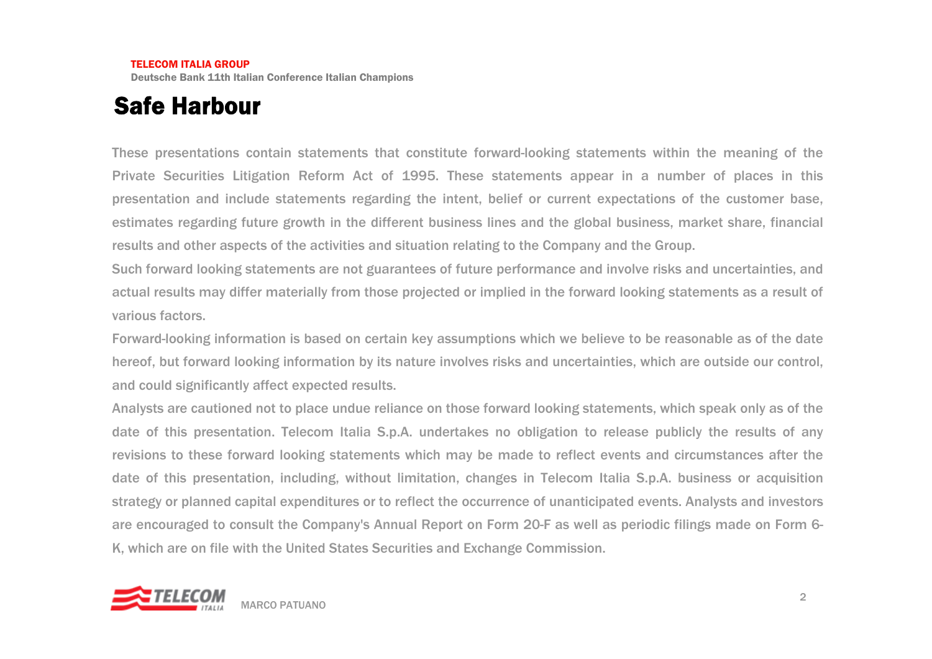Deutsche Bank 11th Italian Conference Italian Champions

### Safe Harbour

These presentations contain statements that constitute forward-looking statements within the meaning of the Private Securities Litigation Reform Act of 1995. These statements appear in a number of places in this presentation and include statements regarding the intent, belief or current expectations of the customer base, estimates regarding future growth in the different business lines and the global business, market share, financial results and other aspects of the activities and situation relating to the Company and the Group.

Such forward looking statements are not guarantees of future performance and involve risks and uncertainties, and actual results may differ materially from those projected or implied in the forward looking statements as a result of various factors.

Forward-looking information is based on certain key assumptions which we believe to be reasonable as of the date hereof, but forward looking information by its nature involves risks and uncertainties, which are outside our control, and could significantly affect expected results.

Analysts are cautioned not to place undue reliance on those forward looking statements, which speak only as of the date of this presentation. Telecom Italia S.p.A. undertakes no obligation to release publicly the results of any revisions to these forward looking statements which may be made to reflect events and circumstances after the date of this presentation, including, without limitation, changes in Telecom Italia S.p.A. business or acquisition strategy or planned capital expenditures or to reflect the occurrence of unanticipated events. Analysts and investors are encouraged to consult the Company's Annual Report on Form 20-F as well as periodic filings made on Form 6- K, which are on file with the United States Securities and Exchange Commission.

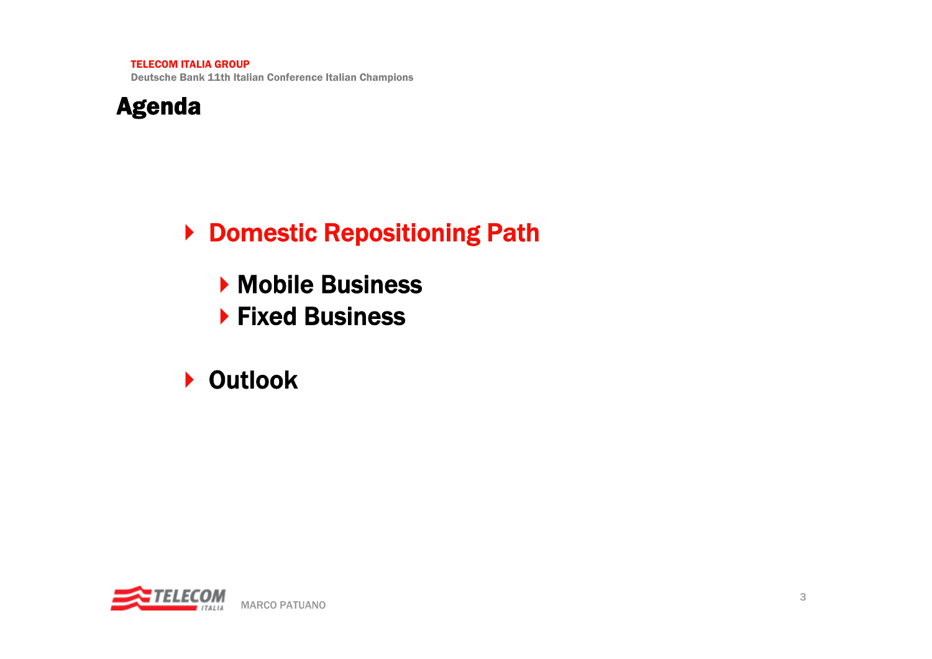

# ▶ Domestic Repositioning Path

- Mobile Business
- $\blacktriangleright$  Fixed Business
- **▶ Outlook**

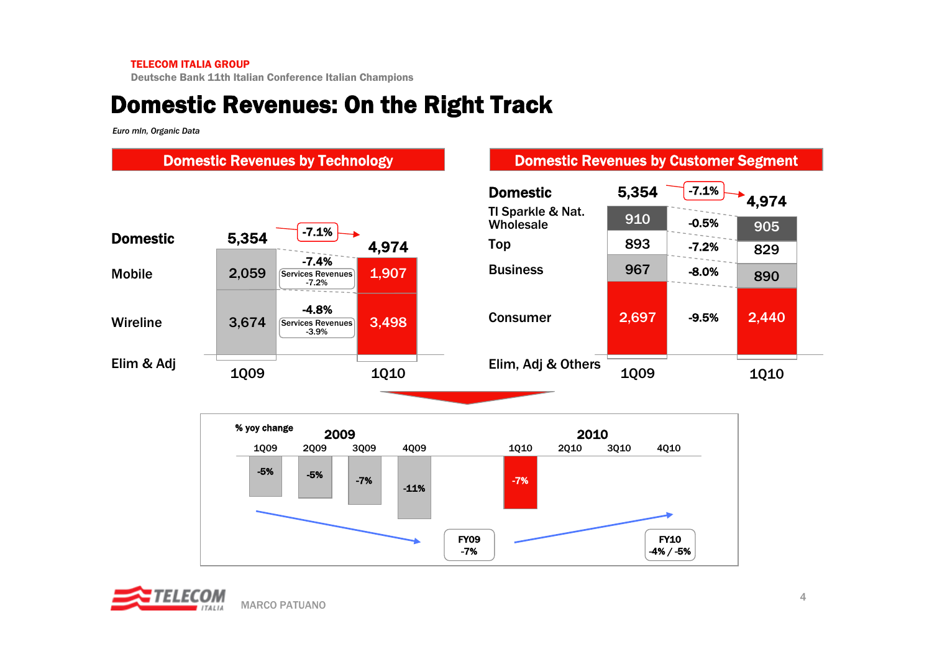Deutsche Bank 11th Italian Conference Italian Champions

### Domestic Revenues: On the Right Track

*Euro mln, Organic Data*

### Domestic Revenues by Technology **Domestic Revenues by Customer Segment**





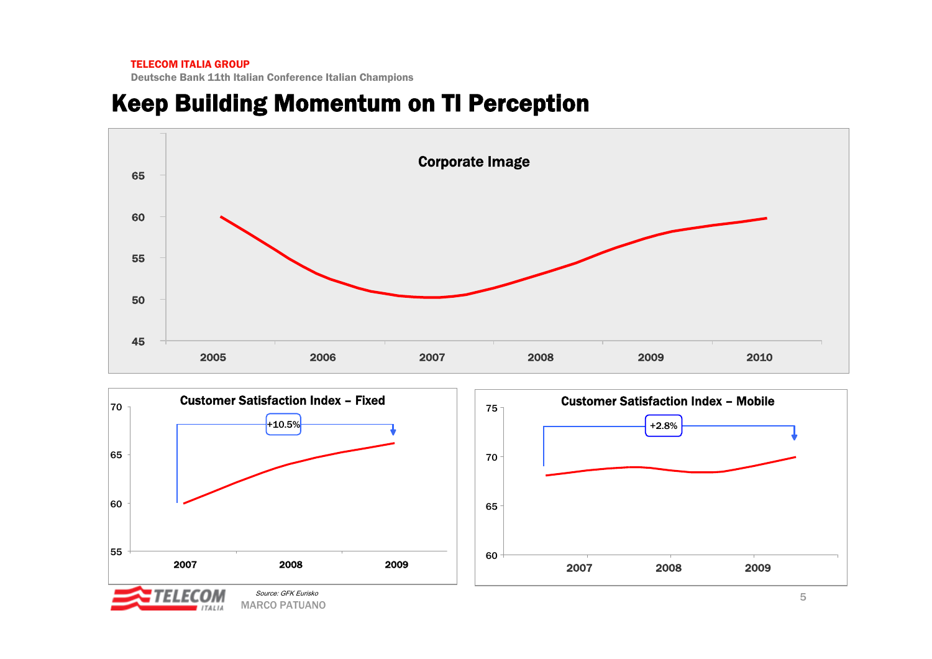Deutsche Bank 11th Italian Conference Italian Champions

### Keep Building Momentum on TI Perception





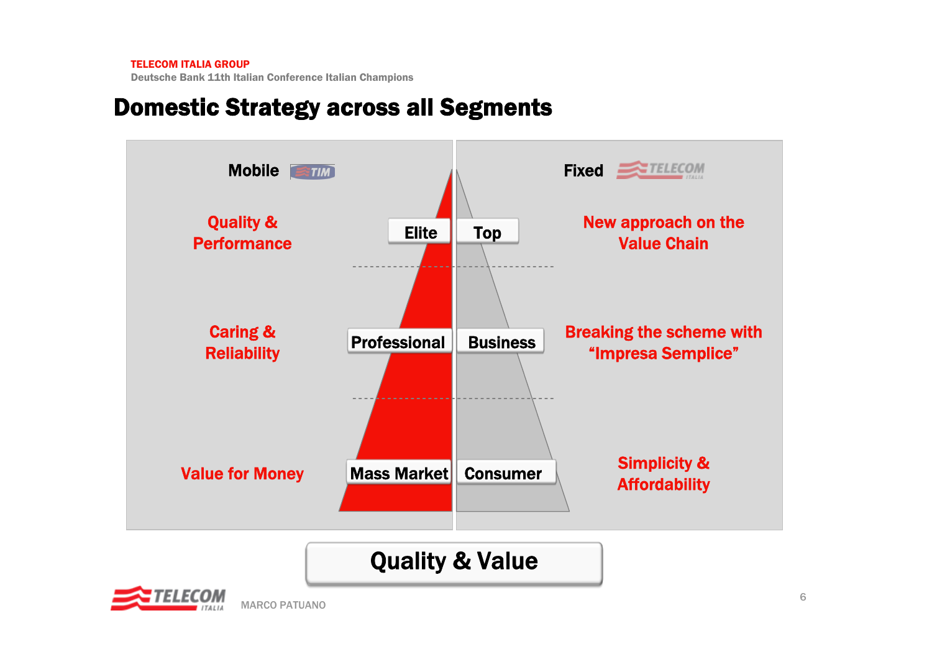Deutsche Bank 11th Italian Conference Italian Champions

### Domestic Strategy across all Segments



### Quality & Value

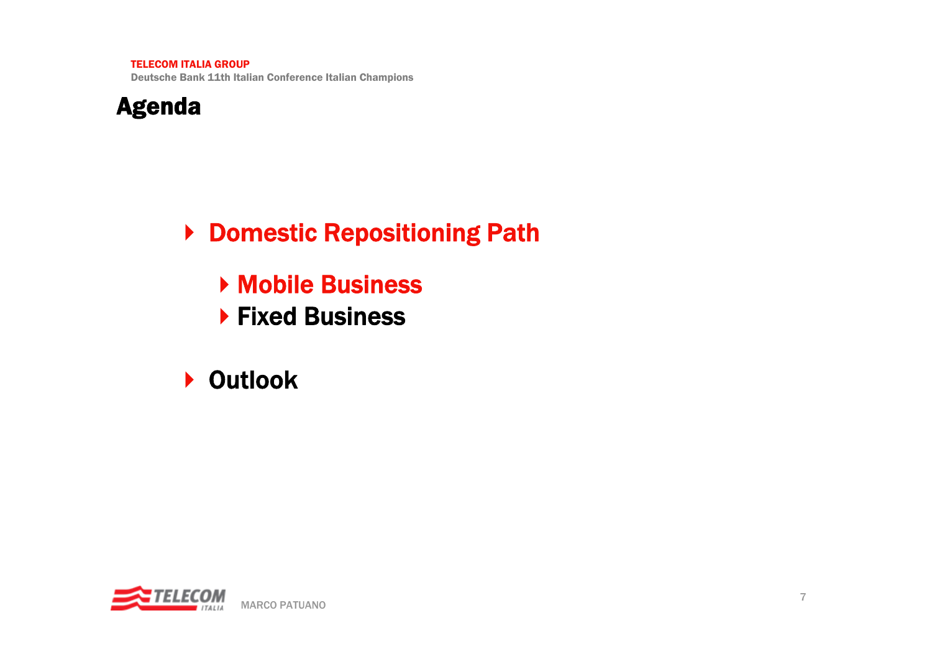

- ▶ Domestic Repositioning Path
	- Mobile Business
	- $\blacktriangleright$  Fixed Business
- **▶ Outlook**

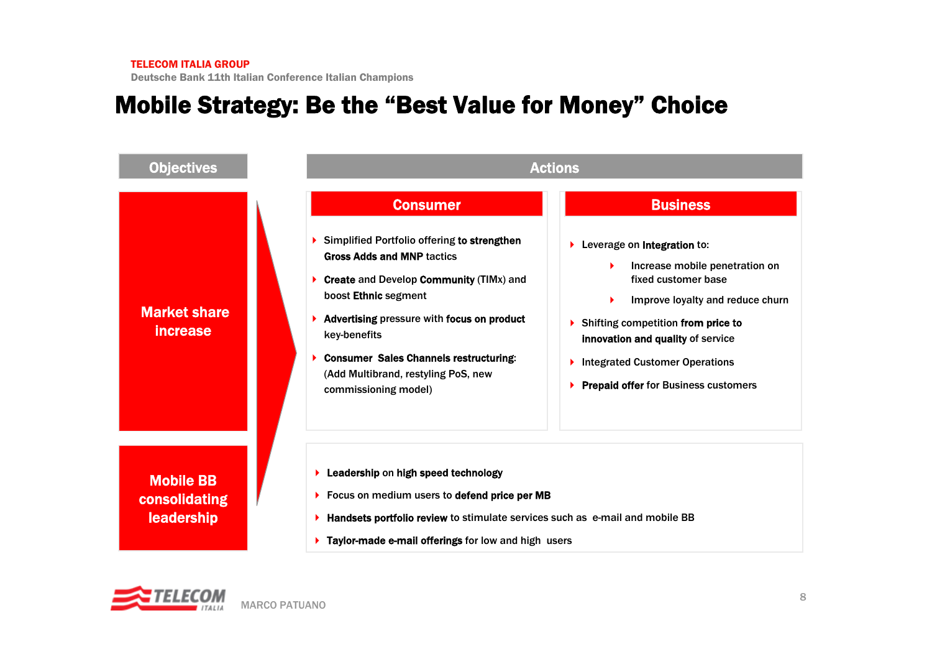### Mobile Strategy: Be the "Best Value for Money" Choice



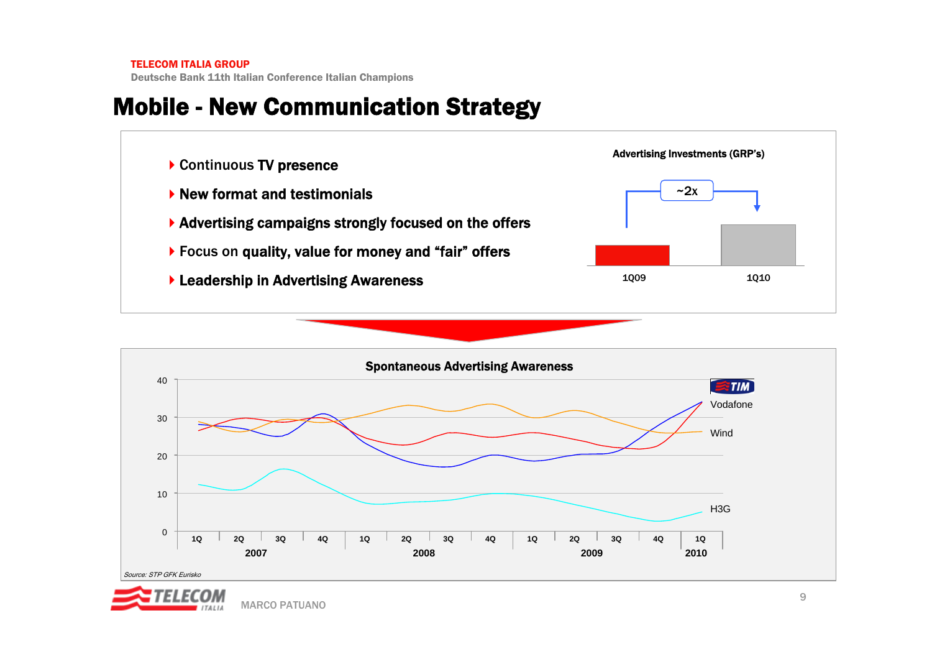### Mobile - New Communication Strategy





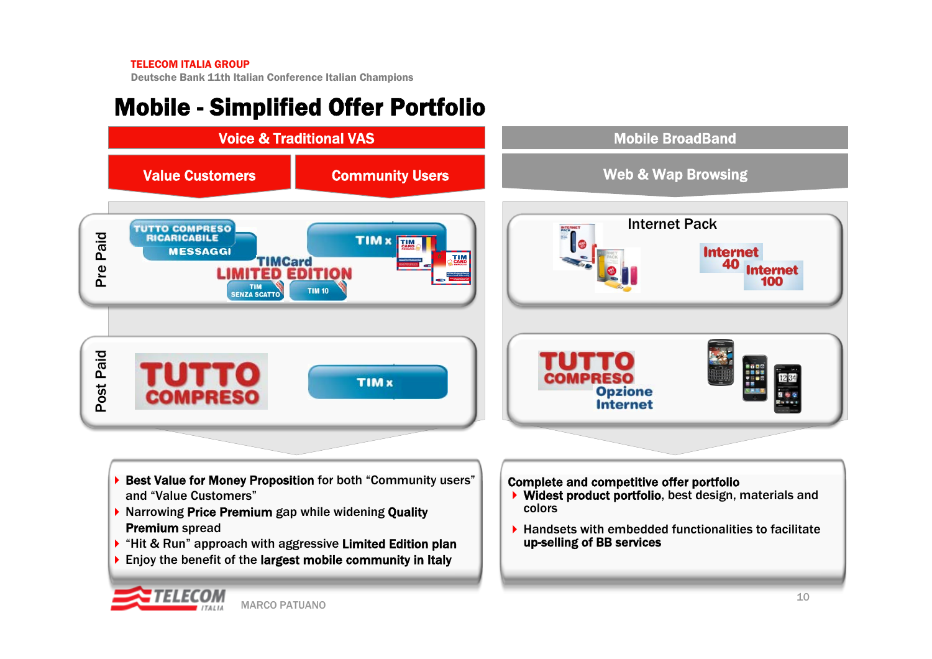Deutsche Bank 11th Italian Conference Italian Champions

# Mobile - Simplified Offer Portfolio

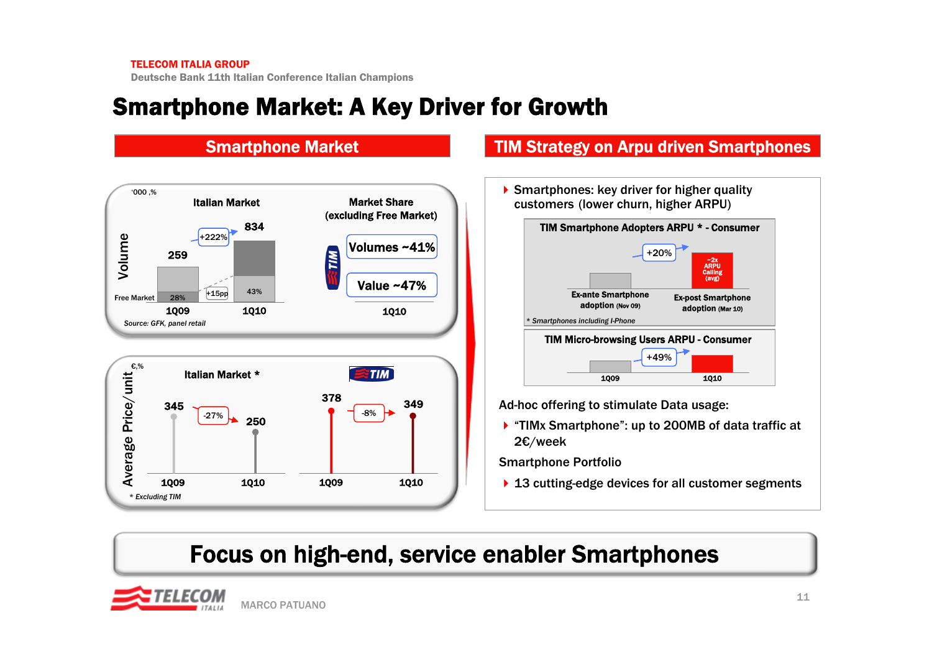Deutsche Bank 11th Italian Conference Italian Champions

# Smartphone Market: A Key Driver for Growth



### Smartphone Market Nation Strategy on Arpu driven Smartphones



Ad-hoc offering to stimulate Data usage:

 $\blacktriangleright$  "TIMx Smartphone": up to 200MB of data traffic at 2€/week

Smartphone Portfolio

▶ 13 cutting-edge devices for all customer segments

### Focus on high-end, service enabler Smartphones

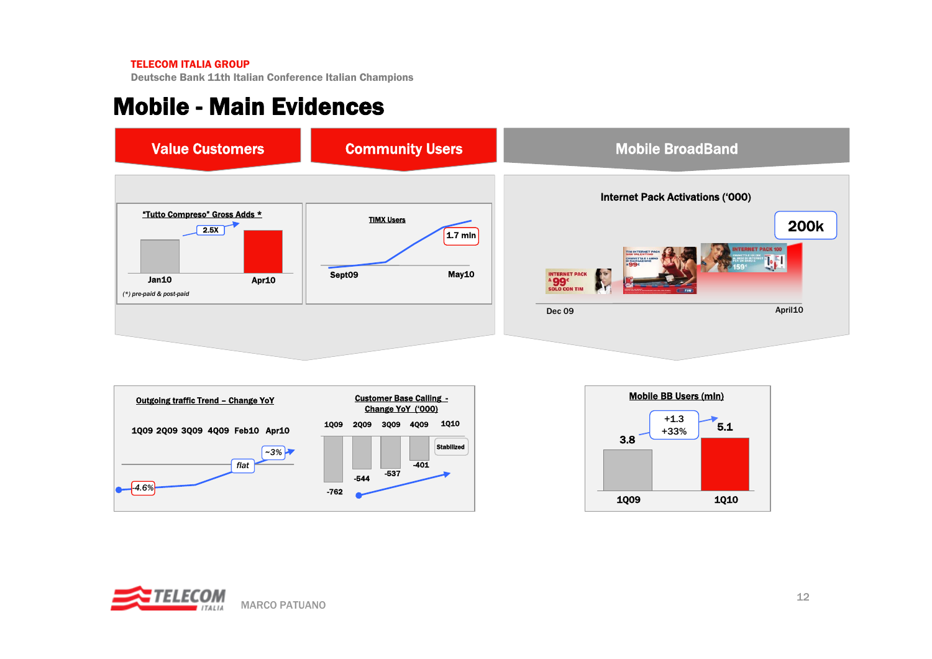Deutsche Bank 11th Italian Conference Italian Champions

### Mobile - Main Evidences







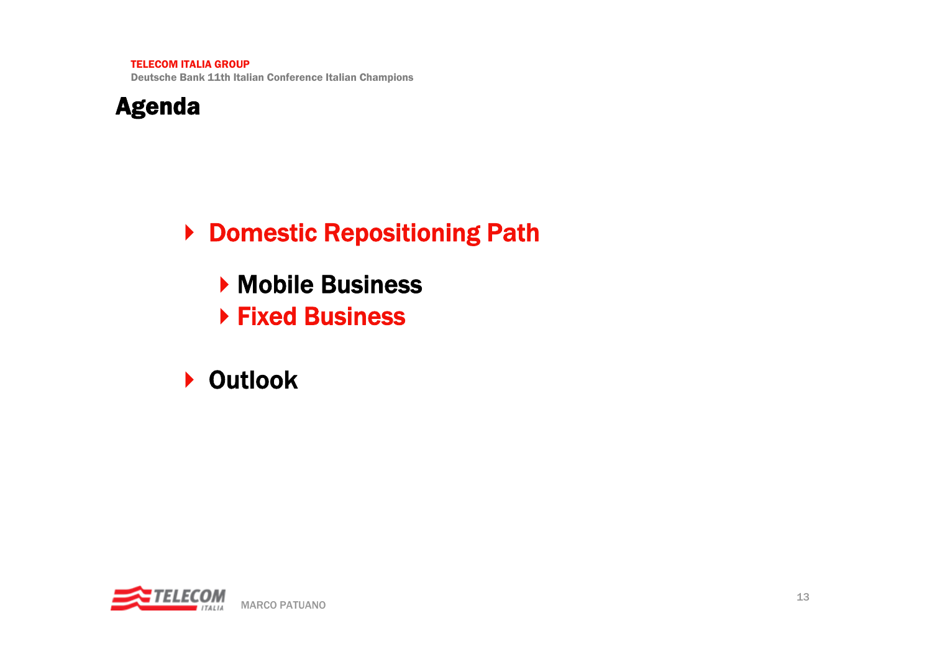

# ▶ Domestic Repositioning Path

- Mobile Business
- Fixed Business
- **▶ Outlook**

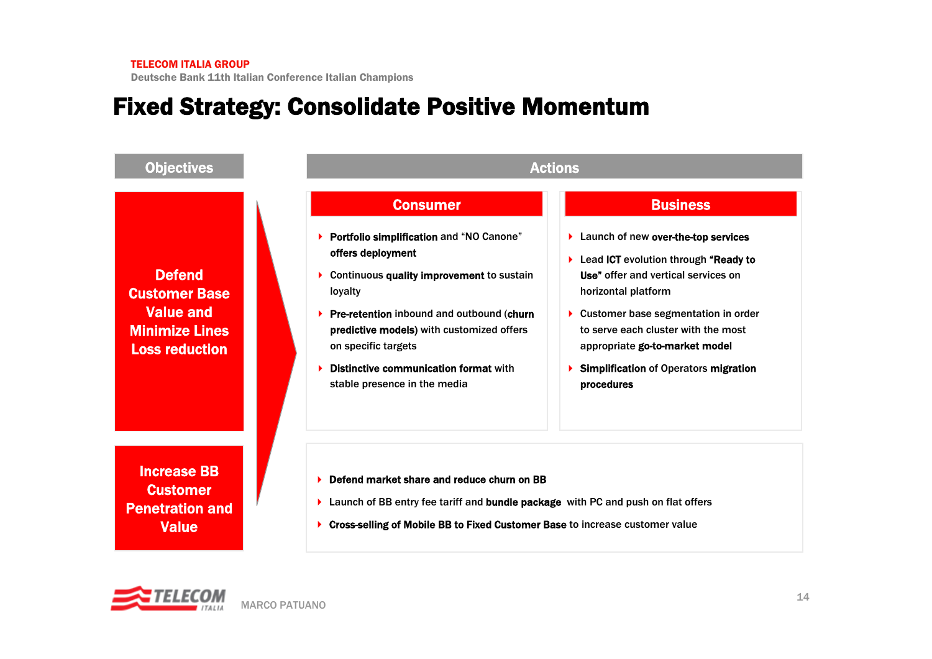Deutsche Bank 11th Italian Conference Italian Champions

### Fixed Strategy: Consolidate Positive Momentum

| <b>Objectives</b>                                                                                           | <b>Actions</b>                                                                                                                                                                                                                                                                                                                     |                                                                                                                                                                                                                                                                                                                                                           |
|-------------------------------------------------------------------------------------------------------------|------------------------------------------------------------------------------------------------------------------------------------------------------------------------------------------------------------------------------------------------------------------------------------------------------------------------------------|-----------------------------------------------------------------------------------------------------------------------------------------------------------------------------------------------------------------------------------------------------------------------------------------------------------------------------------------------------------|
| <b>Defend</b><br><b>Customer Base</b><br><b>Value and</b><br><b>Minimize Lines</b><br><b>Loss reduction</b> | <b>Consumer</b><br>Portfolio simplification and "NO Canone"<br>offers deployment<br>Continuous quality improvement to sustain<br>loyalty<br>Pre-retention inbound and outbound (churn<br>predictive models) with customized offers<br>on specific targets<br>Distinctive communication format with<br>stable presence in the media | <b>Business</b><br>> Launch of new over-the-top services<br>Lead ICT evolution through "Ready to<br>Þ.<br>Use" offer and vertical services on<br>horizontal platform<br>▶ Customer base segmentation in order<br>to serve each cluster with the most<br>appropriate go-to-market model<br><b>Simplification of Operators migration</b><br>▶<br>procedures |
| <b>Increase BB</b><br><b>Customer</b><br><b>Penetration and</b><br><b>Value</b>                             | Defend market share and reduce churn on BB<br>► Launch of BB entry fee tariff and bundle package with PC and push on flat offers<br>Cross-selling of Mobile BB to Fixed Customer Base to increase customer value                                                                                                                   |                                                                                                                                                                                                                                                                                                                                                           |

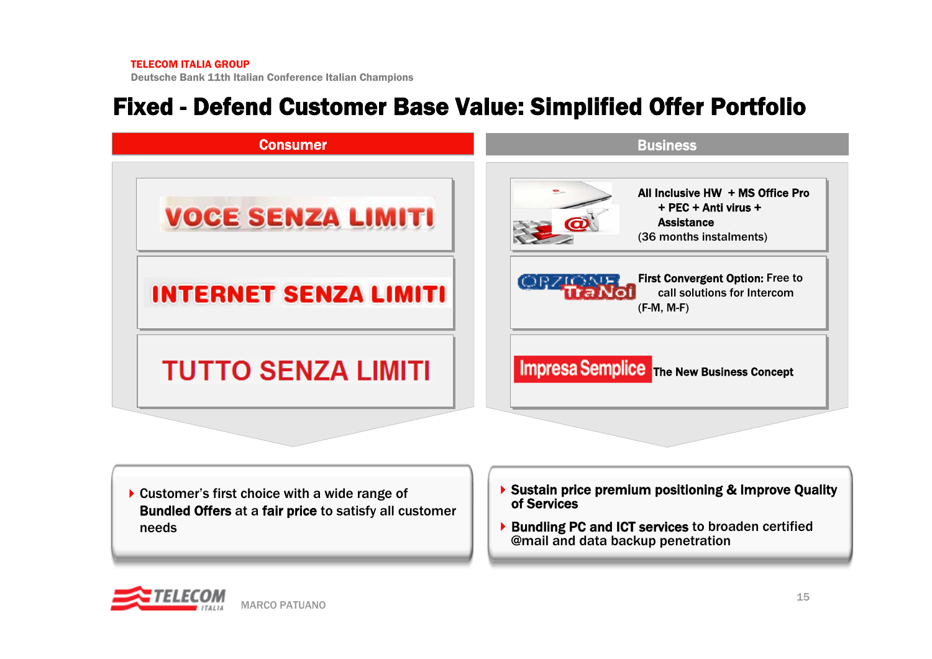Deutsche Bank 11th Italian Conference Italian Champions

### Fixed - Defend Customer Base Value: Simplified Offer Portfolio



- ▶ Customer's first choice with a wide range of Bundled Offers at a fair price to satisfy all customer needs
- ▶ Sustain price premium positioning & Improve Quality of Services
- ▶ Bundling PC and ICT services to broaden certified @mail and data backup penetration

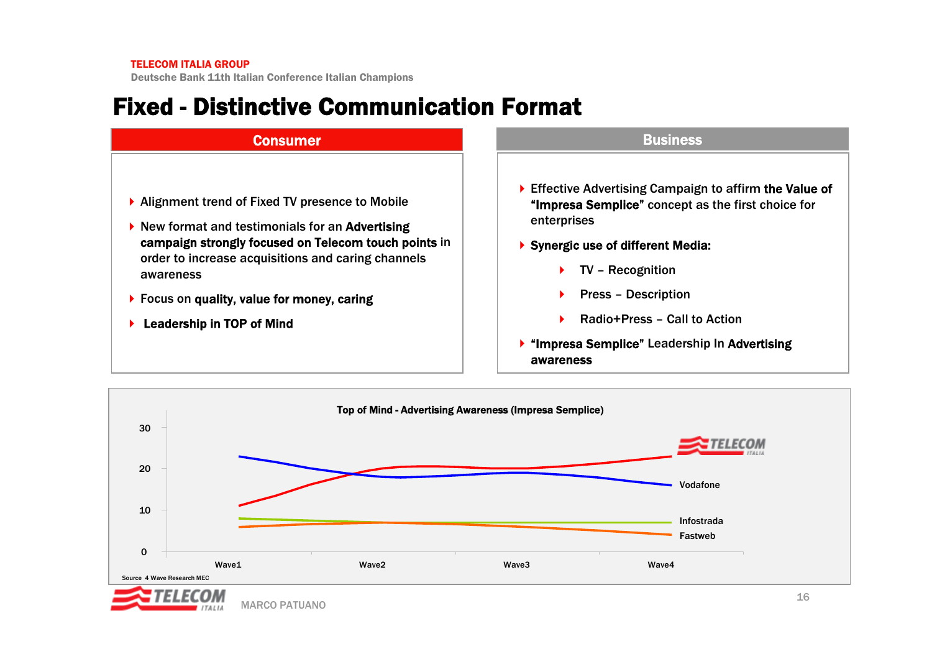Deutsche Bank 11th Italian Conference Italian Champions

# Fixed - Distinctive Communication Format

#### \_\_ Consumer

- ▶ Alignment trend of Fixed TV presence to Mobile
- ▶ New format and testimonials for an Advertising campaign strongly focused on Telecom touch points in order to increase acquisitions and caring channels awareness
- ▶ Focus on quality, value for money, caring
- ▶ Leadership in TOP of Mind

### **Business**

- ▶ Effective Advertising Campaign to affirm the Value of "Impresa Semplice" concept as the first choice for enterprises
- Synergic use of different Media:
	- ▶ TV – Recognition
	- ▶ Press – Description
	- ▶ Radio+Press – Call to Action
- ▶ "Impresa Semplice" Leadership In Advertising awareness

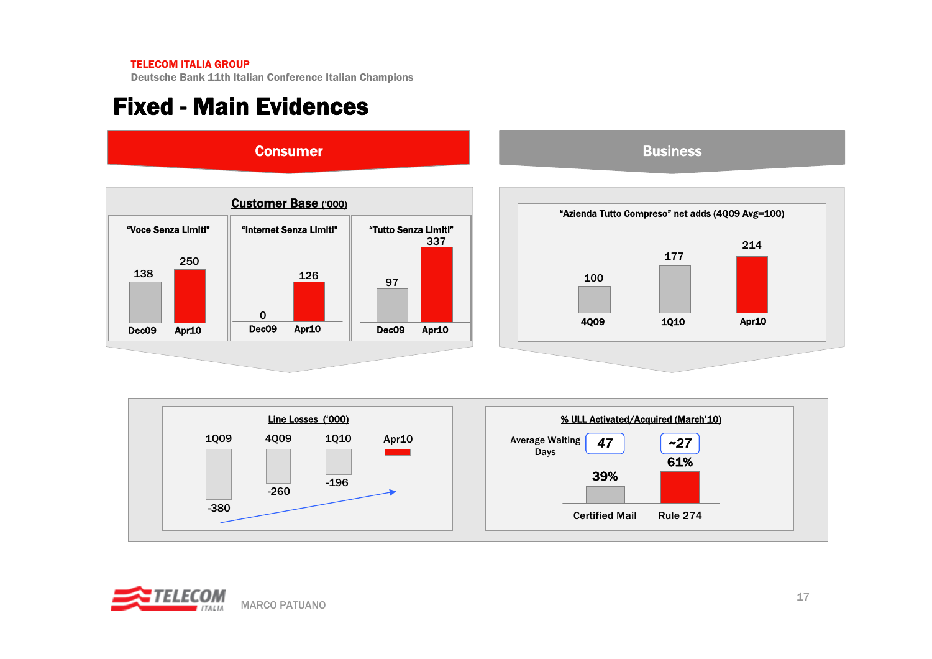Deutsche Bank 11th Italian Conference Italian Champions

### Fixed - Main Evidences

#### **Consumer** r Business and the contract of the contract of the Business







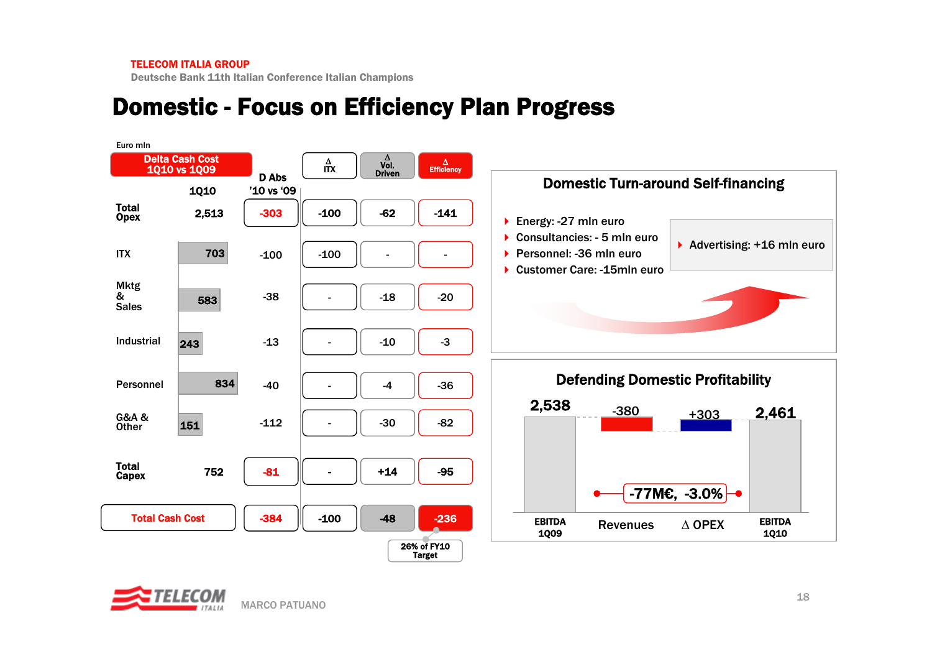Deutsche Bank 11th Italian Conference Italian Champions

### Domestic - Focus on Efficiency Plan Progress



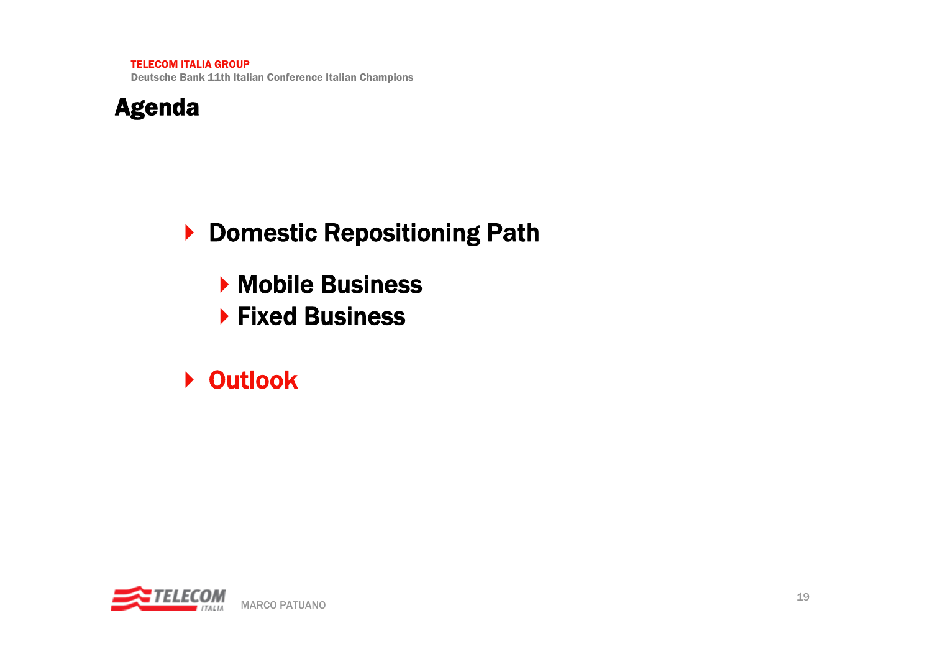Agenda

- ▶ Domestic Repositioning Path
	- Mobile Business
	- ▶ Fixed Business
- **▶ Outlook**